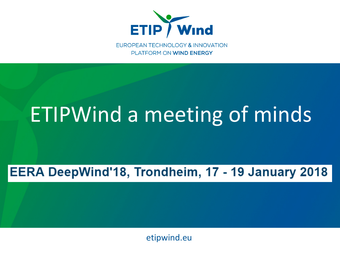

EUROPEAN TECHNOLOGY & INNOVATION PLATFORM ON WIND ENERGY

# ETIPWind a meeting of minds

#### EERA DeepWind'18, Trondheim, 17 - 19 January 2018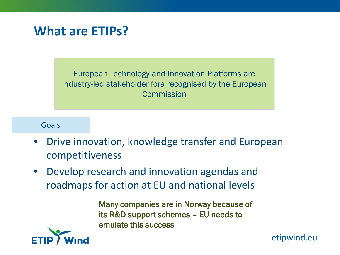#### **What are ETIPs?**

European Technology and Innovation Platforms are industry-led stakeholder fora recognised by the European **Commission** 

#### Goals

- Drive innovation, knowledge transfer and European competitiveness
- Develop research and innovation agendas and roadmaps for action at EU and national levels

Many companies are in Norway because of its R&D support schemes – EU needs to emulate this success

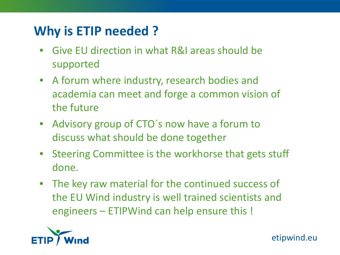## **Why is ETIP needed ?**

- Give EU direction in what R&I areas should be supported
- A forum where industry, research bodies and academia can meet and forge a common vision of the future
- Advisory group of CTO´s now have a forum to discuss what should be done together
- Steering Committee is the workhorse that gets stuff done.
- The key raw material for the continued success of the EU Wind industry is well trained scientists and engineers – ETIPWind can help ensure this !

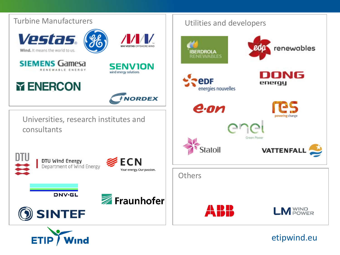

**ETIP Ind**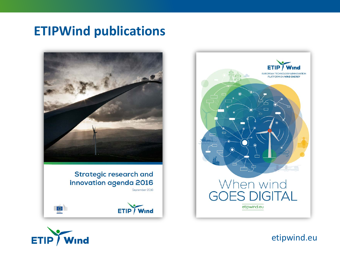#### **ETIPWind publications**



ETIP / Wind



**ETIP** Wind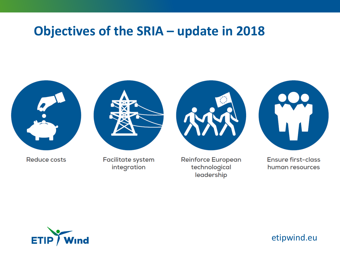#### **Objectives of the SRIA – update in 2018**



integration

technological leadership

human resources

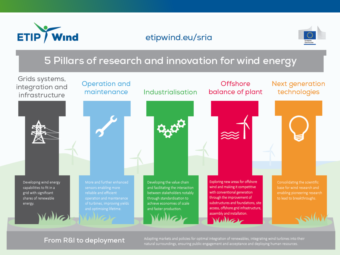

#### etipwind.eu/sria



#### 5 Pillars of research and innovation for wind energy



#### From R&I to deployment

Adapting markets and policies for optimal integration of renewables, integrating wind turbines into their<br>natural surroundings, ensuring public engagement and acceptance and deploying human resources.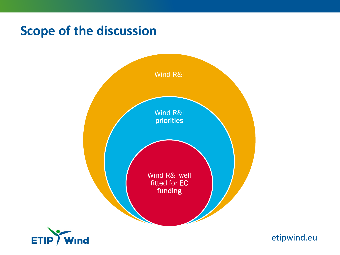### **Scope of the discussion**



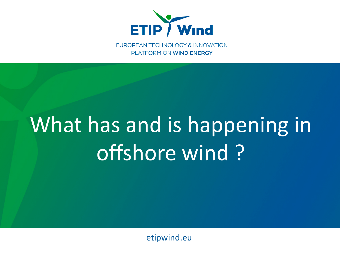

EUROPEAN TECHNOLOGY & INNOVATION PLATFORM ON WIND ENERGY

# **Thank is very much for your attention of the very much formal control of the very model of the very model of th** What has and is happening in offshore wind ?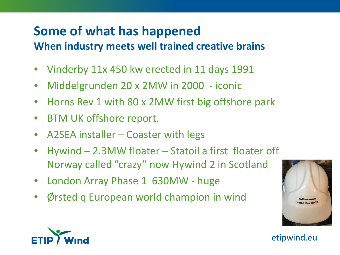# **Some of what has happened**

- **When industry meets well trained creative brains**
- Vinderby 11x 450 kw erected in 11 days 1991
- Middelgrunden 20 x 2MW in 2000 iconic
- Horns Rev 1 with 80 x 2MW first big offshore park
- BTM UK offshore report.
- A2SEA installer Coaster with legs
- Hywind 2.3MW floater Statoil a first floater off Norway called "crazy" now Hywind 2 in Scotland
- London Array Phase 1 630MW huge
- Ørsted q European world champion in wind



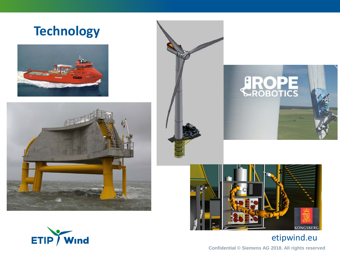#### **Technology**











#### etipwind.eu

**Confidential © Siemens AG 2018. All rights reserved**

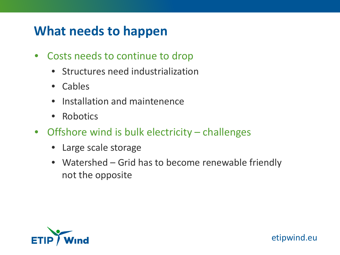### **What needs to happen**

- Costs needs to continue to drop
	- Structures need industrialization
	- Cables
	- Installation and maintenence
	- Robotics
- Offshore wind is bulk electricity challenges
	- Large scale storage
	- Watershed Grid has to become renewable friendly not the opposite

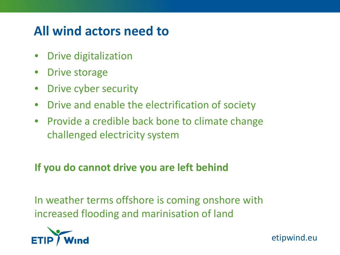## **All wind actors need to**

- Drive digitalization
- Drive storage
- Drive cyber security
- Drive and enable the electrification of society
- Provide a credible back bone to climate change challenged electricity system

#### **If you do cannot drive you are left behind**

In weather terms offshore is coming onshore with increased flooding and marinisation of land